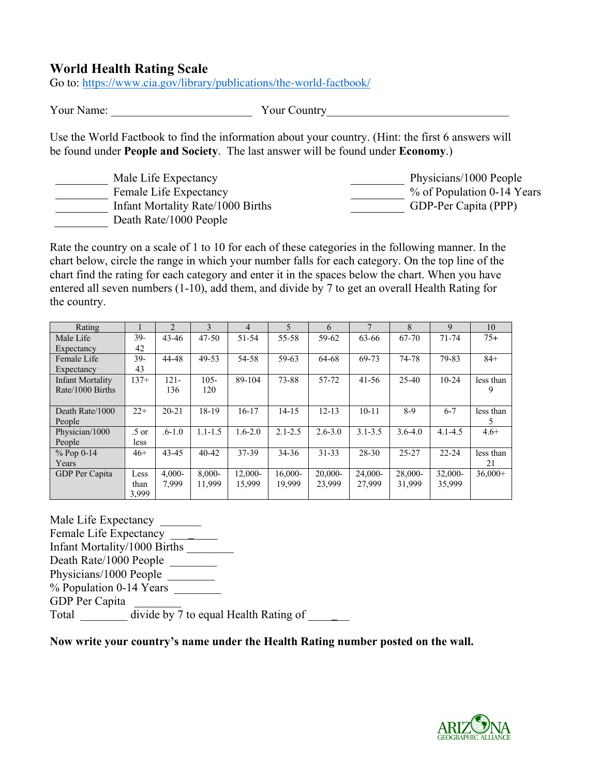## **World Health Rating Scale**

Go to: https://www.cia.gov/library/publications/the-world-factbook/

Your Name: The Solution of Name Solution of Name Solution of Name Solution of Name Solution of Name Solution of N

Use the World Factbook to find the information about your country. (Hint: the first 6 answers will be found under **People and Society**. The last answer will be found under **Economy**.)

| Male Life Expectancy              | Physicians/1000 People     |
|-----------------------------------|----------------------------|
| Female Life Expectancy            | % of Population 0-14 Years |
| Infant Mortality Rate/1000 Births | GDP-Per Capita (PPP)       |
| Death Rate/1000 People            |                            |

Rate the country on a scale of 1 to 10 for each of these categories in the following manner. In the chart below, circle the range in which your number falls for each category. On the top line of the chart find the rating for each category and enter it in the spaces below the chart. When you have entered all seven numbers (1-10), add them, and divide by 7 to get an overall Health Rating for the country.

| Rating           |         | $\overline{2}$ | 3           | 4           | $\overline{\mathcal{L}}$ | 6           | 7           | 8           | 9           | 10        |
|------------------|---------|----------------|-------------|-------------|--------------------------|-------------|-------------|-------------|-------------|-----------|
| Male Life        | $39-$   | $43 - 46$      | $47 - 50$   | 51-54       | $55 - 58$                | 59-62       | 63-66       | $67-70$     | $71 - 74$   | $75+$     |
| Expectancy       | 42      |                |             |             |                          |             |             |             |             |           |
| Female Life      | 39-     | 44-48          | 49-53       | 54-58       | 59-63                    | 64-68       | 69-73       | 74-78       | 79-83       | $84+$     |
| Expectancy       | 43      |                |             |             |                          |             |             |             |             |           |
| Infant Mortality | $137+$  | $121 -$        | $105 -$     | 89-104      | 73-88                    | 57-72       | $41 - 56$   | $25-40$     | $10-24$     | less than |
| Rate/1000 Births |         | 136            | 120         |             |                          |             |             |             |             | 9         |
|                  |         |                |             |             |                          |             |             |             |             |           |
| Death Rate/1000  | $22+$   | $20 - 21$      | 18-19       | $16 - 17$   | $14 - 15$                | $12 - 13$   | $10 - 11$   | $8-9$       | $6 - 7$     | less than |
| People           |         |                |             |             |                          |             |             |             |             |           |
| Physician/1000   | $.5$ or | $.6 - 1.0$     | $1.1 - 1.5$ | $1.6 - 2.0$ | $2.1 - 2.5$              | $2.6 - 3.0$ | $3.1 - 3.5$ | $3.6 - 4.0$ | $4.1 - 4.5$ | $4.6+$    |
| People           | less    |                |             |             |                          |             |             |             |             |           |
| $% Pop 0-14$     | $46+$   | 43-45          | $40 - 42$   | 37-39       | $34 - 36$                | $31 - 33$   | $28 - 30$   | $25 - 27$   | $22 - 24$   | less than |
| Years            |         |                |             |             |                          |             |             |             |             | 21        |
| GDP Per Capita   | Less    | $4.000 -$      | $8.000 -$   | $12,000-$   | $16,000-$                | $20,000-$   | 24,000-     | 28,000-     | $32,000-$   | $36,000+$ |
|                  | than    | 7.999          | 11,999      | 15,999      | 19.999                   | 23,999      | 27,999      | 31,999      | 35,999      |           |
|                  | 3,999   |                |             |             |                          |             |             |             |             |           |

Male Life Expectancy Female Life Expectancy \_\_\_\_\_\_\_\_ Infant Mortality/1000 Births \_\_\_\_\_\_\_\_ Death Rate/1000 People Physicians/1000 People % Population 0-14 Years GDP Per Capita Total  $\frac{d\text{ivide by 7}}{d\text{ivide by 7}}$  to equal Health Rating of

**Now write your country's name under the Health Rating number posted on the wall.**